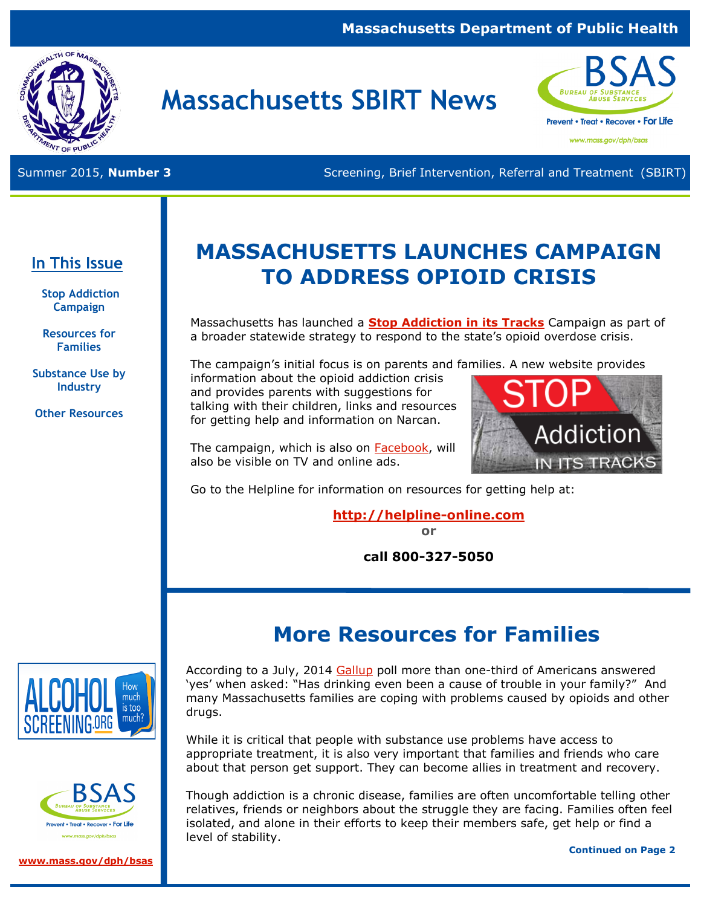#### **Massachusetts Department of Public Health**



# **Massachusetts SBIRT News**



www.mass.gov/dph/bsas

Summer 2015, **Number 3** Screening, Brief Intervention, Referral and Treatment (SBIRT)

### **In This Issue**

**Stop Addiction Campaign** 

**Resources for Families**

**Substance Use by Industry** 

**Other Resources**

# **MASSACHUSETTS LAUNCHES CAMPAIGN TO ADDRESS OPIOID CRISIS**

Massachusetts has launched a **[Stop Addiction in its Tracks](http://www.mass.gov/StopAddiction)** Campaign as part of a broader statewide strategy to respond to the state's opioid overdose crisis.

The campaign's initial focus is on parents and families. A new website provides information about the opioid addiction crisis and provides parents with suggestions for

talking with their children, links and resources for getting help and information on Narcan.



The campaign, which is also on [Facebook,](https://www.facebook.com/StopAddictionMA) will also be visible on TV and online ads.

Go to the Helpline for information on resources for getting help at:

## **<http://helpline-online.com>**

**or** 

**call 800-327-5050** 

# **More Resources for Families**



Treat • Recover • For Life

**[www.mass.gov/dph/bsas](http://www.mass.gov/dph/bsas)**

According to a July, 2014 [Gallup](http://www.gallup.com/poll/174200/reports-alcohol-related-family-trouble-remain.aspx) poll more than one-third of Americans answered 'yes' when asked: "Has drinking even been a cause of trouble in your family?" And many Massachusetts families are coping with problems caused by opioids and other drugs.

While it is critical that people with substance use problems have access to appropriate treatment, it is also very important that families and friends who care about that person get support. They can become allies in treatment and recovery.

Though addiction is a chronic disease, families are often uncomfortable telling other relatives, friends or neighbors about the struggle they are facing. Families often feel isolated, and alone in their efforts to keep their members safe, get help or find a level of stability.

**Continued on Page 2**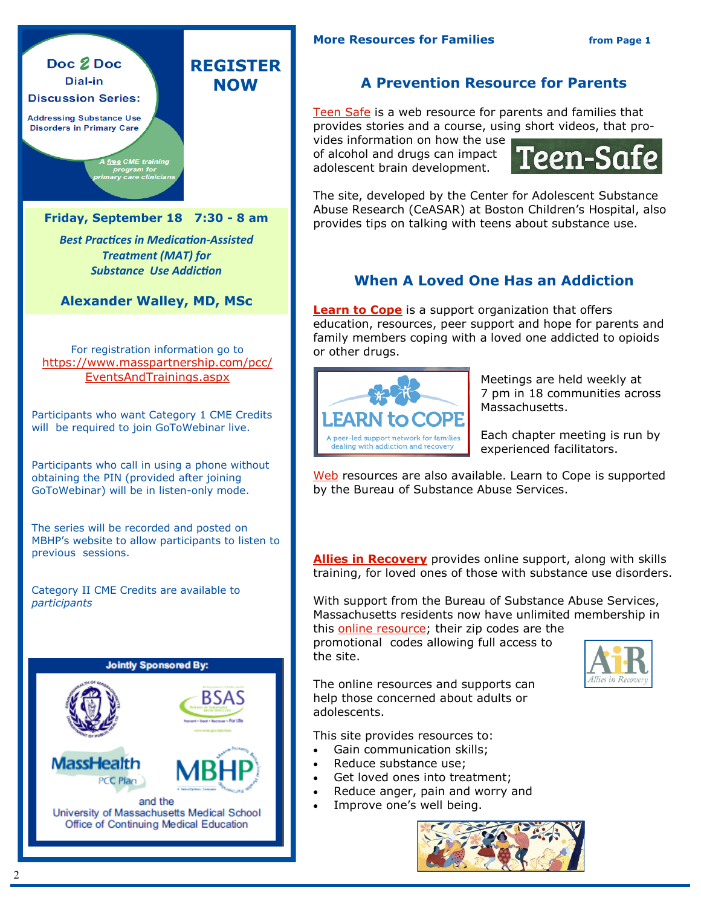

#### Doc 2 Doc Dial-in **Discussion Series: Addressing Substance Use Disorders in Primary Care**

**Friday, September 18 7:30 - 8 am** 

A free CME training program for<br>ary care clinicians **REGISTER NOW**

*Best Practices in Medication-Assisted Treatment (MAT) for Substance Use Addiction* 

**Alexander Walley, MD, MSc**

For registration information go to [https://www.masspartnership.com/pcc/](https://www.masspartnership.com/pcc/EventsAndTrainings.aspx) [EventsAndTrainings.aspx](https://www.masspartnership.com/pcc/EventsAndTrainings.aspx)

Participants who want Category 1 CME Credits will be required to join GoToWebinar live.

Participants who call in using a phone without obtaining the PIN (provided after joining GoToWebinar) will be in listen-only mode.

The series will be recorded and posted on MBHP's website to allow participants to listen to previous sessions.

Category II CME Credits are available to *participants*



#### **A Prevention Resource for Parents**

[Teen Safe](http://www.Teen-Safe.org) is a web resource for parents and families that provides stories and a course, using short videos, that pro-

vides information on how the use of alcohol and drugs can impact adolescent brain development.



The site, developed by the Center for Adolescent Substance Abuse Research (CeASAR) at Boston Children's Hospital, also provides tips on talking with teens about substance use.

#### **When A Loved One Has an Addiction**

**[Learn to Cope](http://www.learn2cope.org)** is a support organization that offers education, resources, peer support and hope for parents and family members coping with a loved one addicted to opioids or other drugs.



Meetings are held weekly at 7 pm in 18 communities across Massachusetts.

Each chapter meeting is run by experienced facilitators.

[Web](http://www.learn2cope.org/) resources are also available. Learn to Cope is supported by the Bureau of Substance Abuse Services.

**[Allies in Recovery](http://alliesinrecovery.net/)** provides online support, along with skills training, for loved ones of those with substance use disorders.

With support from the Bureau of Substance Abuse Services, Massachusetts residents now have unlimited membership in

this [online resource;](http://alliesinrecovery.net/) their zip codes are the promotional codes allowing full access to the site.



The online resources and supports can help those concerned about adults or adolescents.

This site provides resources to:

- Gain communication skills;
- Reduce substance use;
- Get loved ones into treatment;
- Reduce anger, pain and worry and
- Improve one's well being.

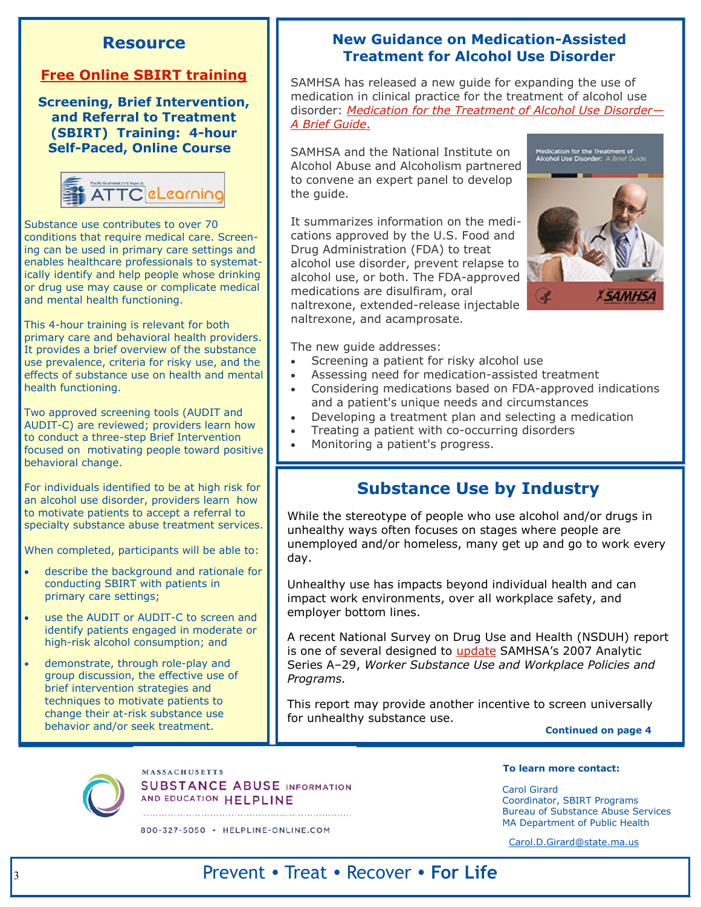#### **Resource**

#### **[Free Online SBIRT training](http://psattcelearn.org/courses/4hr_sbirt/)**

**Screening, Brief Intervention, and Referral to Treatment (SBIRT) Training: 4-hour Self-Paced, Online Course** 



Substance use contributes to over 70 conditions that require medical care. Screening can be used in primary care settings and enables healthcare professionals to systematically identify and help people whose drinking or drug use may cause or complicate medical and mental health functioning.

This 4-hour training is relevant for both primary care and behavioral health providers. It provides a brief overview of the substance use prevalence, criteria for risky use, and the effects of substance use on health and mental health functioning.

Two approved screening tools (AUDIT and AUDIT-C) are reviewed; providers learn how to conduct a three-step Brief Intervention focused on motivating people toward positive behavioral change.

For individuals identified to be at high risk for an alcohol use disorder, providers learn how to motivate patients to accept a referral to specialty substance abuse treatment services.

When completed, participants will be able to:

- describe the background and rationale for conducting SBIRT with patients in primary care settings;
- use the AUDIT or AUDIT-C to screen and identify patients engaged in moderate or high-risk alcohol consumption; and
- demonstrate, through role-play and group discussion, the effective use of brief intervention strategies and techniques to motivate patients to change their at-risk substance use behavior and/or seek treatment.

#### **New Guidance on Medication-Assisted Treatment for Alcohol Use Disorder**

SAMHSA has released a new guide for expanding the use of medication in clinical practice for the treatment of alcohol use disorder: *[Medication for the Treatment of Alcohol Use Disorder](http://store.samhsa.gov/product/Medications-for-the-Treatment-of-Alcohol-Use-Disorder-A-Brief-Guide/All-New-Products/SMA15-4907)— [A Brief Guide](http://store.samhsa.gov/product/Medications-for-the-Treatment-of-Alcohol-Use-Disorder-A-Brief-Guide/All-New-Products/SMA15-4907)*.

SAMHSA and the National Institute on Alcohol Abuse and Alcoholism partnered to convene an expert panel to develop the guide.

It summarizes information on the medications approved by the U.S. Food and Drug Administration (FDA) to treat alcohol use disorder, prevent relapse to alcohol use, or both. The FDA-approved medications are disulfiram, oral naltrexone, extended-release injectable naltrexone, and acamprosate.



The new guide addresses:

- Screening a patient for risky alcohol use
- Assessing need for medication-assisted treatment
- Considering medications based on FDA-approved indications and a patient's unique needs and circumstances
- Developing a treatment plan and selecting a medication
- Treating a patient with co-occurring disorders
- Monitoring a patient's progress.

### **Substance Use by Industry**

While the stereotype of people who use alcohol and/or drugs in unhealthy ways often focuses on stages where people are unemployed and/or homeless, many get up and go to work every day.

Unhealthy use has impacts beyond individual health and can impact work environments, over all workplace safety, and employer bottom lines.

A recent National Survey on Drug Use and Health (NSDUH) report is one of several designed to [update](http://www.samhsa.gov/data/sites/default/files/report_1959/ShortReport-1959.pdf) SAMHSA's 2007 Analytic Series A–29, *Worker Substance Use and Workplace Policies and Programs.* 

This report may provide another incentive to screen universally for unhealthy substance use.

**Continued on page 4**



**MASSACHUSETTS SUBSTANCE ABUSE INFORMATION** AND EDUCATION HELPLINE

800-327-5050 · HELPLINE-ONLINE.COM

#### **To learn more contact:**

Carol Girard Coordinator, SBIRT Programs Bureau of Substance Abuse Services MA Department of Public Health

[Carol.D.Girard@state.ma.us](mailto:Carol.D.Girard@state.ma.us)